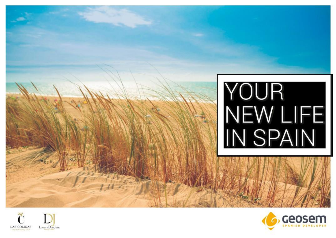



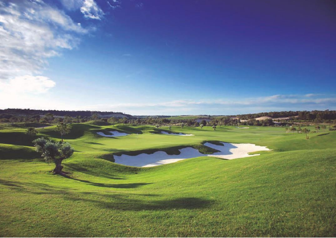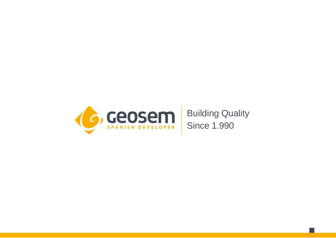

Building Quality Since 1.990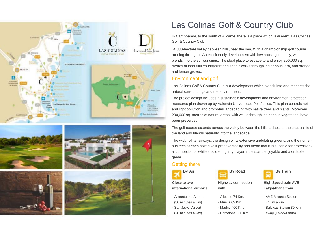



### Las Colinas Golf & Country Club

In Campoamor, to the south of Alicante, there is a place which is di erent: Las Colinas Golf & Country Club.

A 330-hectare valley between hills, near the sea, With a championship golf course running through it. An eco-friendly development with low housing intensity, which blends into the surroundings. The ideal place to escape to and enjoy 200,000 sq. metres of beautiful countryside and scenic walks through indigenous ora, and orange and lemon groves.

#### Environment and golf

Las Colinas Golf & Country Club is a development which blends into and respects the natural surroundings and the environment.

The project design includes a sustainable development and environment protection measures plan drawn up by Valencia Universidad Politécnica. This plan controls noise and light pollution and promotes landscaping with native trees and plants. Moreover, 200,000 sq. metres of natural areas, with walks through indigenous vegetation, have been preserved.

The golf course extends across the valley between the hills, adapts to the unusual lie of the land and blends naturally into the landscape.

The width of its fairways, the design of its extensive undulating greens, and the numerous tees at each hole give it great versatility and mean that it is suitable for professional competitions, while also o ering any player a pleasant, enjoyable and a ordable game.

### Getting there

- 
- (50 minutes away) · Murcia 63 Km. 74 km away.
- 



- 
- 
- 
- 
- 



**Close to two Highway connection High Speed train AVE international airports with: Talgo/Altaria train.**

- · Alicante Int. Airport · Alicante 74 Km. · · · AVE Alicante Station
- · San Javier Airport · Madrid 400 Km. · · · · Balsicas Station 30 Km (20 minutes away) · Barcelona 600 Km. away (Talgo/Altaria)
- 
- 
-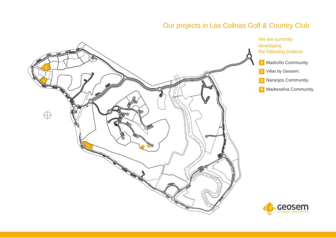### Our projects in Las Colinas Golf & Country Club

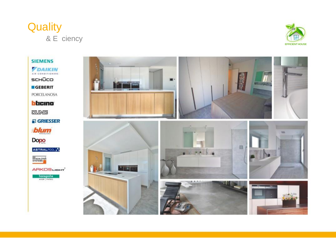# **Quality** & E ciency

**JUNG** 

blum

Dopo

SCHLÜTER<br>SYSTEMS



# **SIEMENS** *PDAIKIN* SCHÜCO ۰ **GEBERIT PORCELANOSA bticing GRIESSER** E ASTRALPOOL A  $-3 - 2 - 1$ **ARKOSught**  $\overline{1}$ hansgrohe<br>Axot | MARO